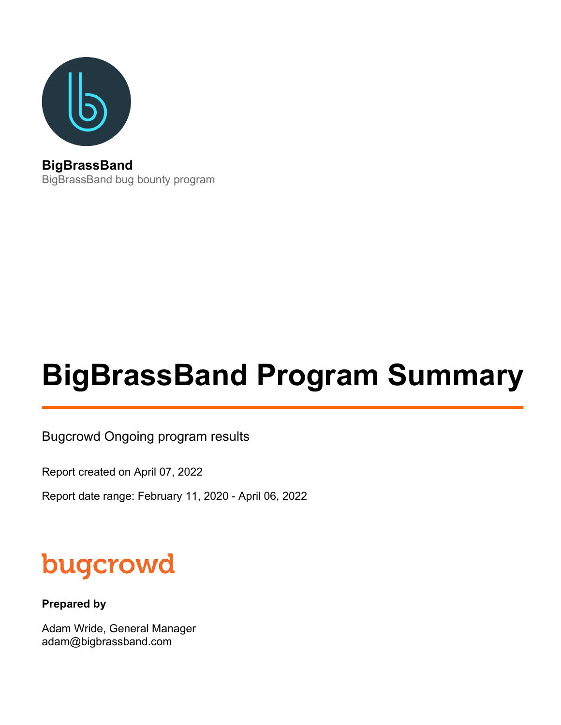

BigBrassBand bug bounty program

# **BigBrassBand Program Summary**

Bugcrowd Ongoing program results

Report created on April 07, 2022

Report date range: February 11, 2020 - April 06, 2022

# bugcrowd

**Prepared by**

Adam Wride, General Manager adam@bigbrassband.com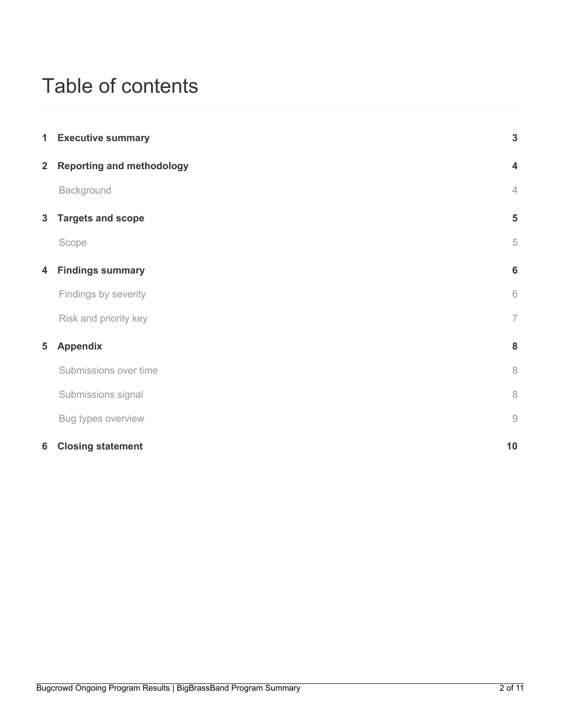# Table of contents

|                | 1 Executive summary              | $\mathbf{3}$            |
|----------------|----------------------------------|-------------------------|
| 2 <sup>1</sup> | <b>Reporting and methodology</b> | $\overline{\mathbf{4}}$ |
|                | Background                       | $\sqrt{4}$              |
| $\mathbf{3}$   | <b>Targets and scope</b>         | 5                       |
|                | Scope                            | 5                       |
| 4              | <b>Findings summary</b>          | $6\phantom{1}6$         |
|                | Findings by severity             | $\,$ $\,$ $\,$          |
|                | Risk and priority key            | $\overline{7}$          |
| 5              | <b>Appendix</b>                  | 8                       |
|                | Submissions over time            | $\, 8$                  |
|                | Submissions signal               | $\,8\,$                 |
|                | Bug types overview               | $\hbox{${\cal O}$}$     |
| 6              | <b>Closing statement</b>         | 10                      |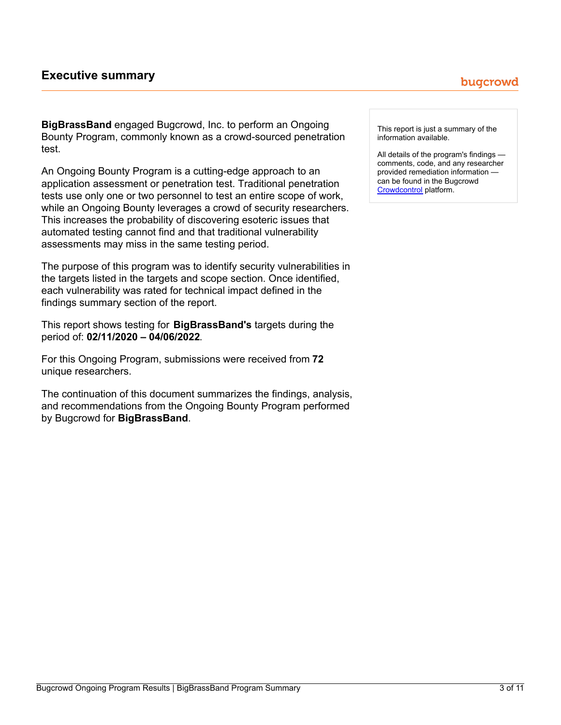# <span id="page-2-0"></span>**Executive summary**

**BigBrassBand** engaged Bugcrowd, Inc. to perform an Ongoing Bounty Program, commonly known as a crowd-sourced penetration test.

An Ongoing Bounty Program is a cutting-edge approach to an application assessment or penetration test. Traditional penetration tests use only one or two personnel to test an entire scope of work, while an Ongoing Bounty leverages a crowd of security researchers. This increases the probability of discovering esoteric issues that automated testing cannot find and that traditional vulnerability assessments may miss in the same testing period.

The purpose of this program was to identify security vulnerabilities in the targets listed in the targets and scope section. Once identified, each vulnerability was rated for technical impact defined in the findings summary section of the report.

This report shows testing for **BigBrassBand's** targets during the period of: **02/11/2020 – 04/06/2022**.

For this Ongoing Program, submissions were received from **72** unique researchers.

The continuation of this document summarizes the findings, analysis, and recommendations from the Ongoing Bounty Program performed by Bugcrowd for **BigBrassBand**.

This report is just a summary of the information available.

All details of the program's findings comments, code, and any researcher provided remediation information can be found in the Bugcrowd [Crowdcontrol](https://tracker.bugcrowd.com/bigbrassband/submissions) platform.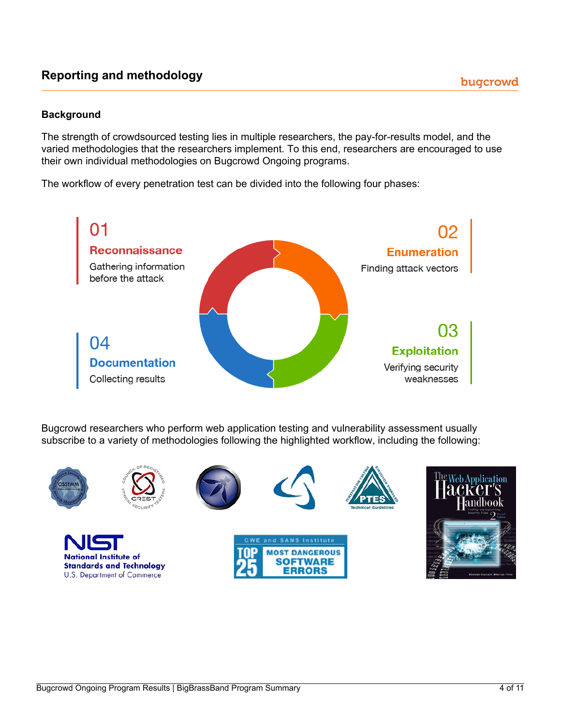# <span id="page-3-0"></span>**Reporting and methodology**

# **Background**

The strength of crowdsourced testing lies in multiple researchers, the pay-for-results model, and the varied methodologies that the researchers implement. To this end, researchers are encouraged to use their own individual methodologies on Bugcrowd Ongoing programs.

The workflow of every penetration test can be divided into the following four phases:



Bugcrowd researchers who perform web application testing and vulnerability assessment usually subscribe to a variety of methodologies following the highlighted workflow, including the following:













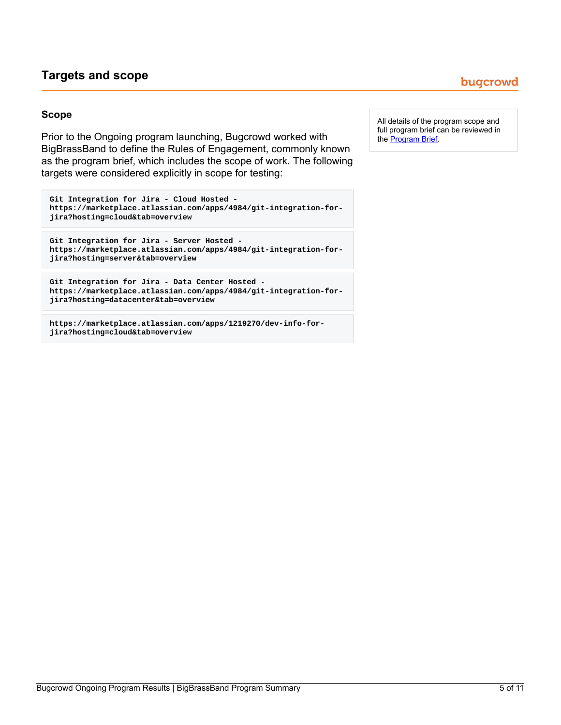# <span id="page-4-0"></span>**Targets and scope**

## **Scope**

Prior to the Ongoing program launching, Bugcrowd worked with BigBrassBand to define the Rules of Engagement, commonly known as the program brief, which includes the scope of work. The following targets were considered explicitly in scope for testing:

```
Git Integration for Jira - Cloud Hosted -
https://marketplace.atlassian.com/apps/4984/git-integration-for-
jira?hosting=cloud&tab=overview
```

```
Git Integration for Jira - Server Hosted -
https://marketplace.atlassian.com/apps/4984/git-integration-for-
jira?hosting=server&tab=overview
```

```
Git Integration for Jira - Data Center Hosted -
https://marketplace.atlassian.com/apps/4984/git-integration-for-
jira?hosting=datacenter&tab=overview
```
**https://marketplace.atlassian.com/apps/1219270/dev-info-forjira?hosting=cloud&tab=overview**

All details of the program scope and full program brief can be reviewed in the **[Program](https://bugcrowd.com/bigbrassband?preview=757f52f82d6b267bcbc4c60a8660e525) Brief.** 

# bugcrowd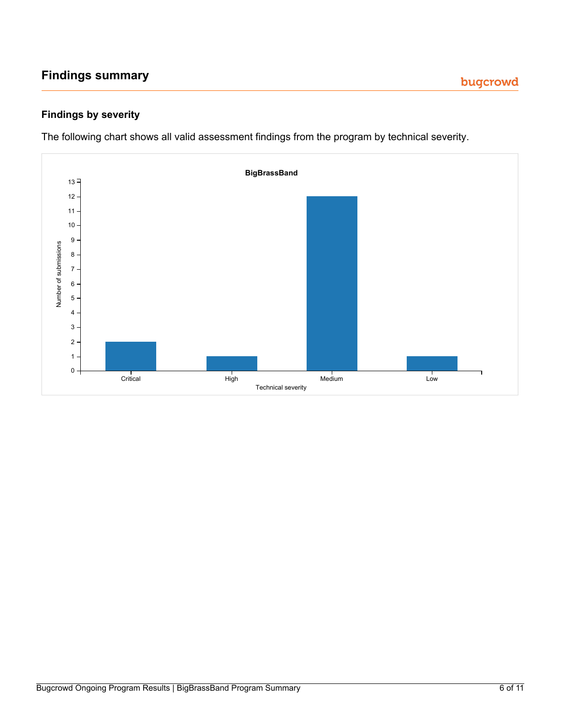# <span id="page-5-0"></span>**Findings summary**

# **Findings by severity**

The following chart shows all valid assessment findings from the program by technical severity.

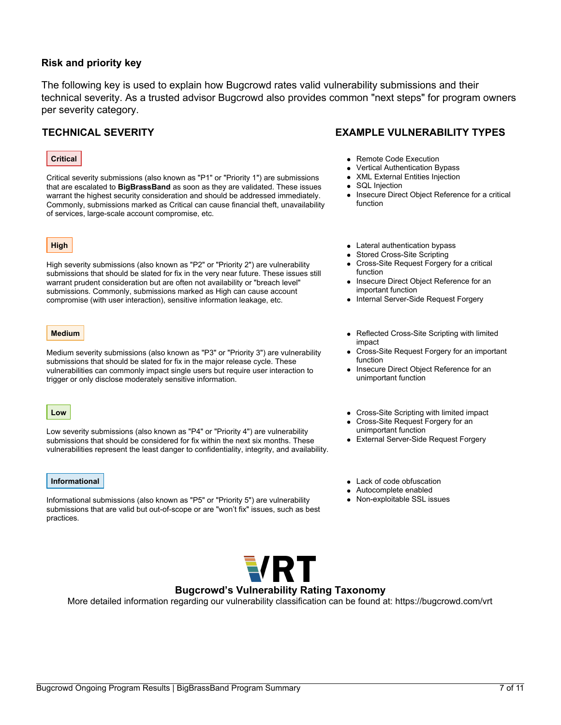## **Risk and priority key**

The following key is used to explain how Bugcrowd rates valid vulnerability submissions and their technical severity. As a trusted advisor Bugcrowd also provides common "next steps" for program owners per severity category.

#### **Critical**

Critical severity submissions (also known as "P1" or "Priority 1") are submissions that are escalated to **BigBrassBand** as soon as they are validated. These issues warrant the highest security consideration and should be addressed immediately. Commonly, submissions marked as Critical can cause financial theft, unavailability of services, large-scale account compromise, etc.

### **High**

High severity submissions (also known as "P2" or "Priority 2") are vulnerability submissions that should be slated for fix in the very near future. These issues still warrant prudent consideration but are often not availability or "breach level" submissions. Commonly, submissions marked as High can cause account compromise (with user interaction), sensitive information leakage, etc.

#### **Medium**

Medium severity submissions (also known as "P3" or "Priority 3") are vulnerability submissions that should be slated for fix in the major release cycle. These vulnerabilities can commonly impact single users but require user interaction to trigger or only disclose moderately sensitive information.

#### **Low**

Low severity submissions (also known as "P4" or "Priority 4") are vulnerability submissions that should be considered for fix within the next six months. These vulnerabilities represent the least danger to confidentiality, integrity, and availability.

#### **Informational**

Informational submissions (also known as "P5" or "Priority 5") are vulnerability submissions that are valid but out-of-scope or are "won't fix" issues, such as best practices.

# **TECHNICAL SEVERITY EXAMPLE VULNERABILITY TYPES**

- Remote Code Execution
- Vertical Authentication Bypass  $\bullet$
- XML External Entities Injection  $\bullet$
- SQL Injection
- Insecure Direct Object Reference for a critical function
- Lateral authentication bypass
- Stored Cross-Site Scripting
- Cross-Site Request Forgery for a critical function
- Insecure Direct Object Reference for an important function
- Internal Server-Side Request Forgery
- Reflected Cross-Site Scripting with limited impact
- Cross-Site Request Forgery for an important function
- **Insecure Direct Object Reference for an** unimportant function
- Cross-Site Scripting with limited impact
- Cross-Site Request Forgery for an unimportant function
- External Server-Side Request Forgery
- Lack of code obfuscation
- Autocomplete enabled
- Non-exploitable SSL issues



### **Bugcrowd's Vulnerability Rating Taxonomy**

More detailed information regarding our vulnerability classification can be found at: https://bugcrowd.com/vrt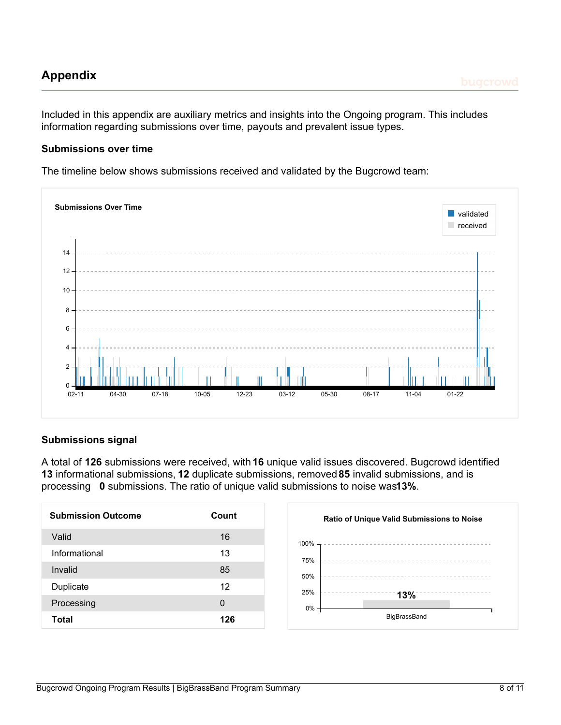# <span id="page-7-0"></span>**Appendix**

# **Submissions over time**

The timeline below shows submissions received and validated by the Bugcrowd team:



# **Submissions signal**

A total of **126** submissions were received, with **16** unique valid issues discovered. Bugcrowd identified **13** informational submissions, **12** duplicate submissions, removed**85** invalid submissions, and is processing **0** submissions. The ratio of unique valid submissions to noise was**13%**.

| <b>Submission Outcome</b> | Count    |
|---------------------------|----------|
| Valid                     | 16       |
| Informational             | 13       |
| Invalid                   | 85       |
| Duplicate                 | 12       |
| Processing                | $\Omega$ |
| Total                     | 126      |

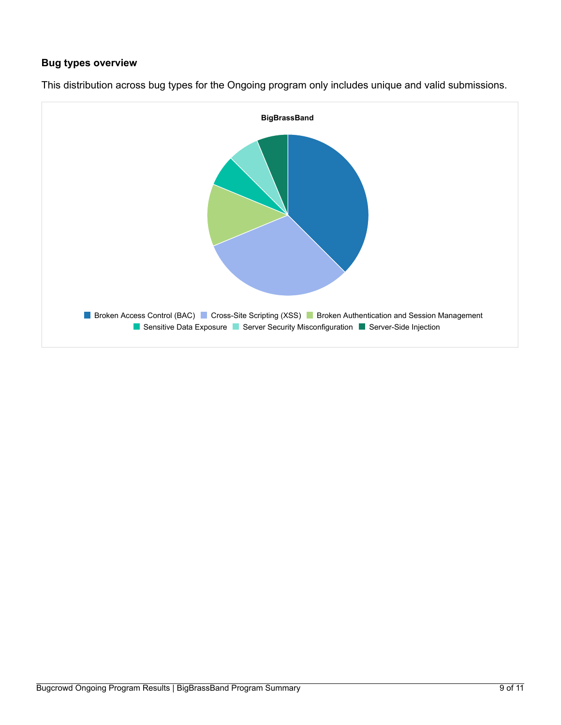# **Bug types overview**



This distribution across bug types for the Ongoing program only includes unique and valid submissions.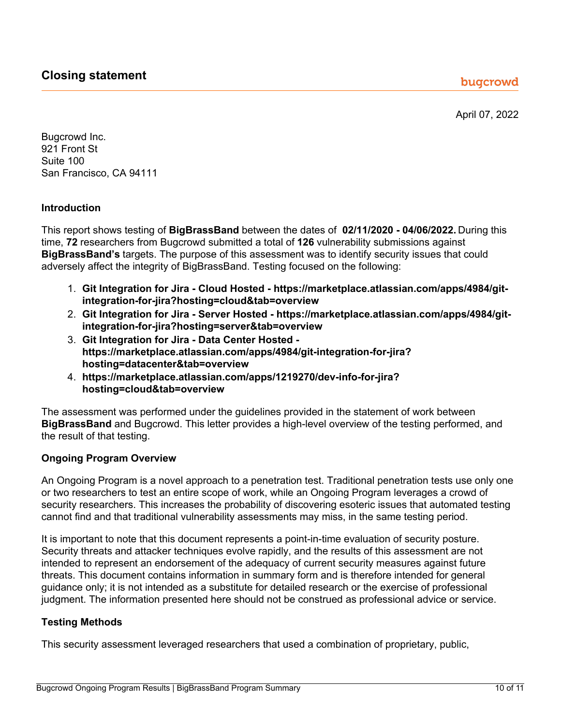April 07, 2022

<span id="page-9-0"></span>Bugcrowd Inc. 921 Front St Suite 100 San Francisco, CA 94111

# **Introduction**

This report shows testing of **BigBrassBand** between the dates of **02/11/2020 - 04/06/2022.** During this time, **72** researchers from Bugcrowd submitted a total of **126** vulnerability submissions against **BigBrassBand's** targets. The purpose of this assessment was to identify security issues that could adversely affect the integrity of BigBrassBand. Testing focused on the following:

- 1. **Git Integration for Jira - Cloud Hosted - https://marketplace.atlassian.com/apps/4984/gitintegration-for-jira?hosting=cloud&tab=overview**
- 2. **Git Integration for Jira - Server Hosted - https://marketplace.atlassian.com/apps/4984/gitintegration-for-jira?hosting=server&tab=overview**
- 3. **Git Integration for Jira - Data Center Hosted https://marketplace.atlassian.com/apps/4984/git-integration-for-jira? hosting=datacenter&tab=overview**
- 4. **https://marketplace.atlassian.com/apps/1219270/dev-info-for-jira? hosting=cloud&tab=overview**

The assessment was performed under the guidelines provided in the statement of work between **BigBrassBand** and Bugcrowd. This letter provides a high-level overview of the testing performed, and the result of that testing.

# **Ongoing Program Overview**

An Ongoing Program is a novel approach to a penetration test. Traditional penetration tests use only one or two researchers to test an entire scope of work, while an Ongoing Program leverages a crowd of security researchers. This increases the probability of discovering esoteric issues that automated testing cannot find and that traditional vulnerability assessments may miss, in the same testing period.

It is important to note that this document represents a point-in-time evaluation of security posture. Security threats and attacker techniques evolve rapidly, and the results of this assessment are not intended to represent an endorsement of the adequacy of current security measures against future threats. This document contains information in summary form and is therefore intended for general guidance only; it is not intended as a substitute for detailed research or the exercise of professional judgment. The information presented here should not be construed as professional advice or service.

# **Testing Methods**

This security assessment leveraged researchers that used a combination of proprietary, public,